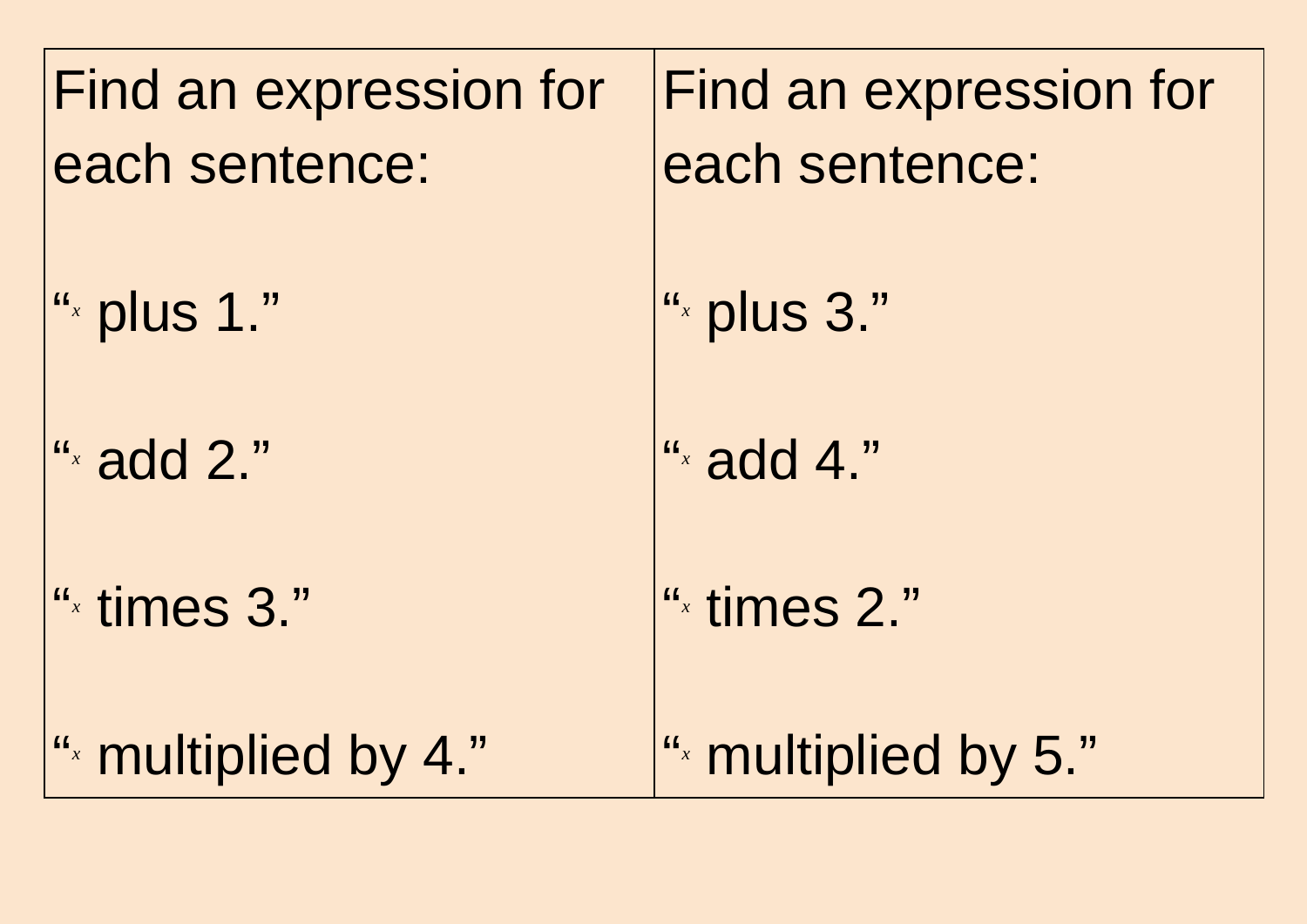| Find an expression for   | Find an expression for   |
|--------------------------|--------------------------|
| each sentence:           | each sentence:           |
| " $\cdot$ plus 1."       | " $\cdot$ plus 3."       |
| " $\alpha$ add 2."       | " $\frac{1}{x}$ add 4."  |
| " <sup>x</sup> times 3." | " <sup>x</sup> times 2." |
| ". multiplied by 4."     | " multiplied by 5."      |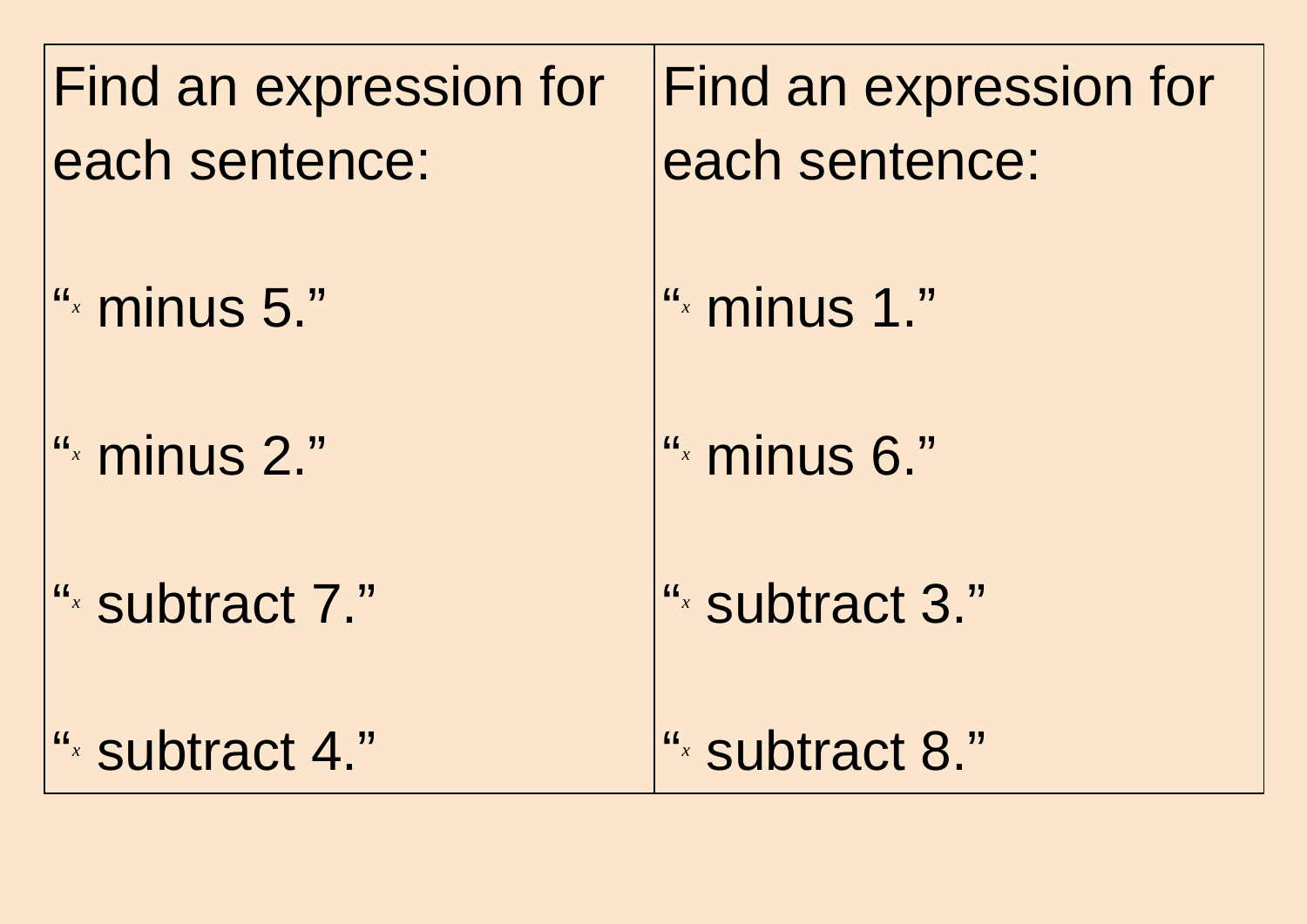| Find an expression for<br>each sentence: | Find an expression for<br>each sentence: |
|------------------------------------------|------------------------------------------|
| " <sup>x</sup> minus 5."                 | " <sup>x</sup> minus 1."                 |
| " <sup>x</sup> minus 2."                 | " <sup>x</sup> minus 6."                 |
| ". subtract 7."                          | ". subtract 3."                          |
| ". subtract 4."                          | ". subtract 8."                          |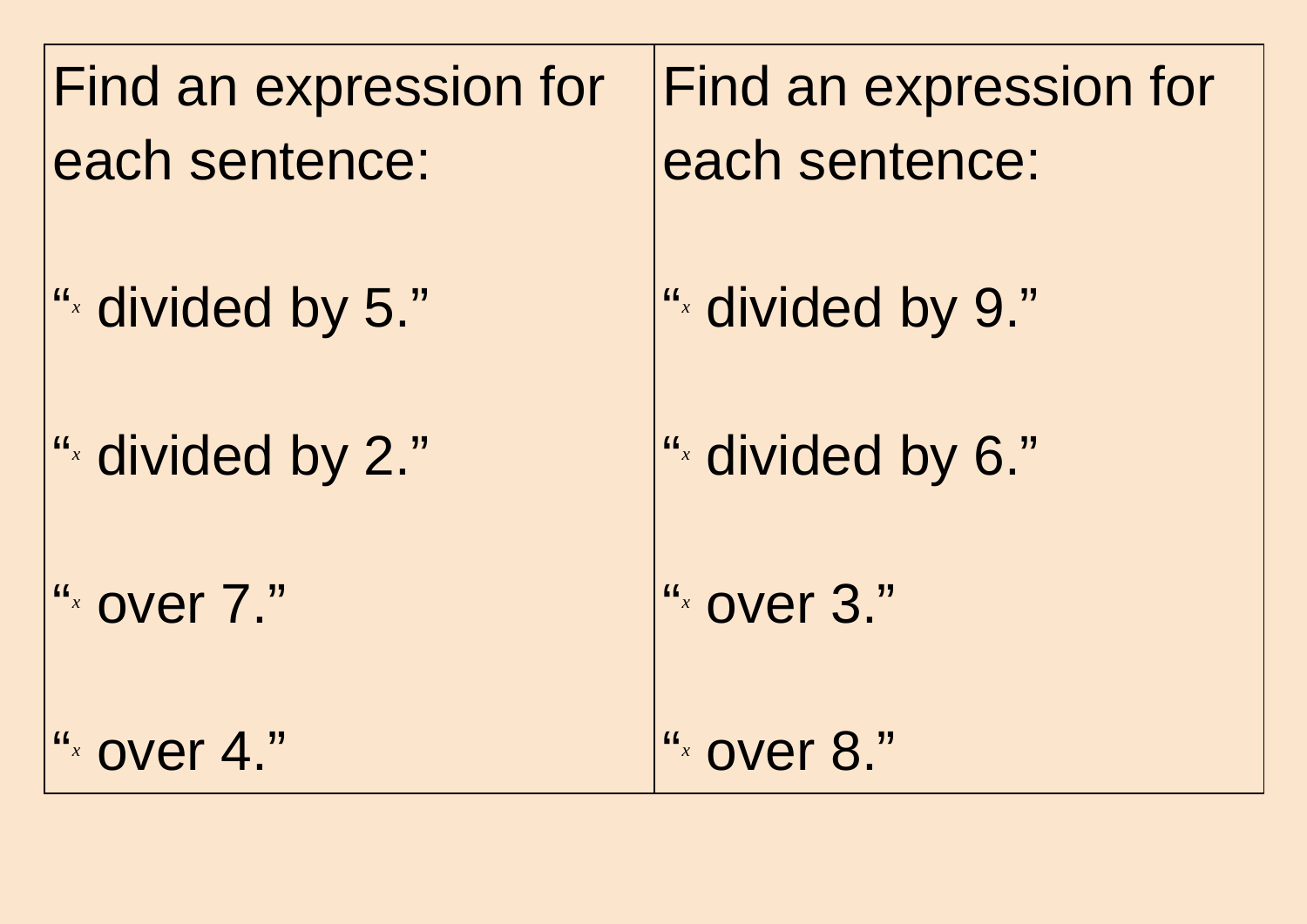Find an expression for each sentence: "<br>" *x* divided by 5." "<br>" *x* divided by 2." "<br>" *x* over 7." "<br>" *x* over 4."

Find an expression for each sentence:

" *x* divided by 9."

" *x* divided by 6."

" *x* over 3."

" *x* over 8."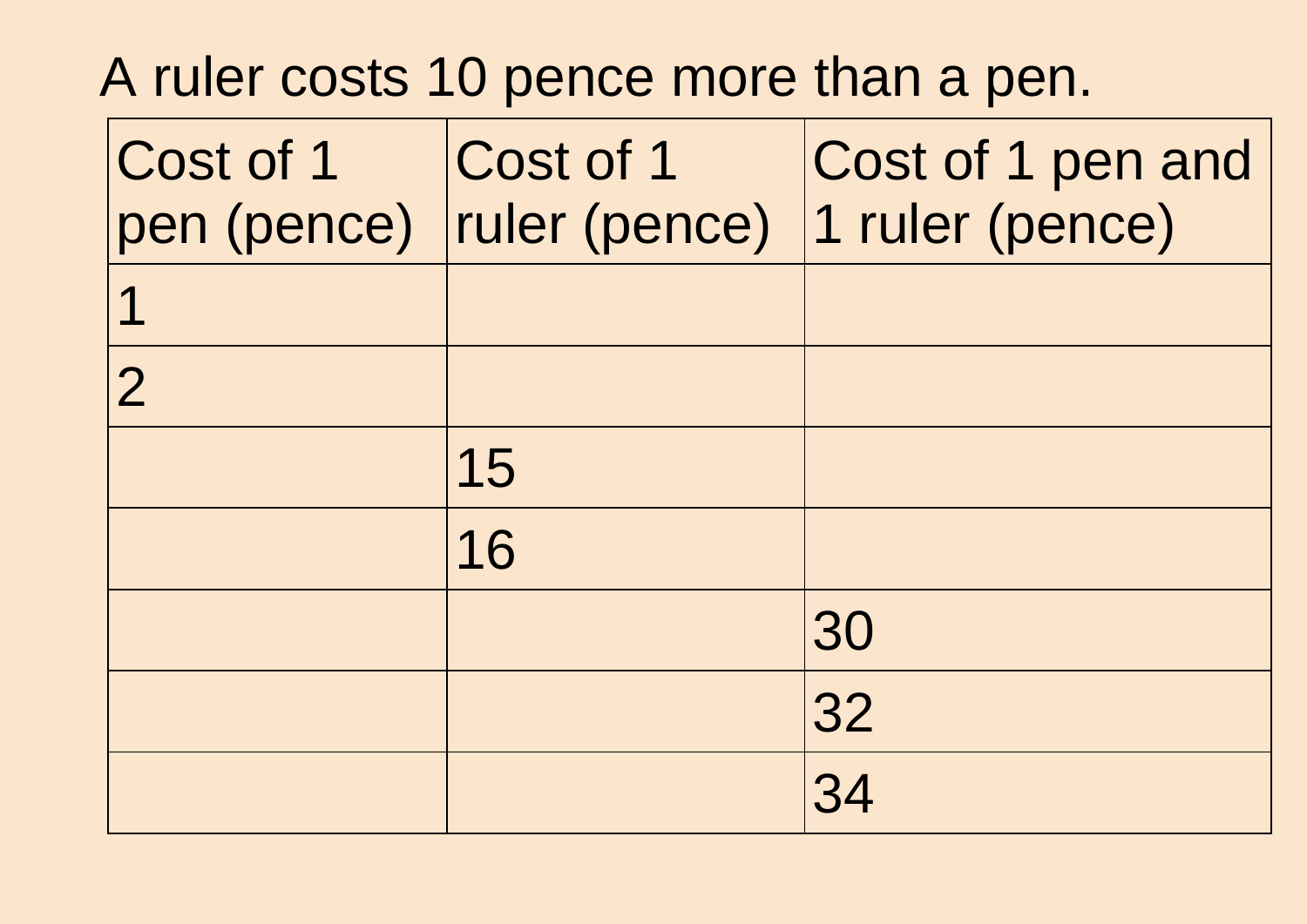## A ruler costs 10 pence more than a pen.

| Cost of 1      | Cost of 1 | Cost of 1 pen and               |
|----------------|-----------|---------------------------------|
| pen (pence)    |           | ruler (pence)   1 ruler (pence) |
| 1              |           |                                 |
| $\overline{2}$ |           |                                 |
|                | 15        |                                 |
|                | 16        |                                 |
|                |           | 30                              |
|                |           | 32                              |
|                |           | 34                              |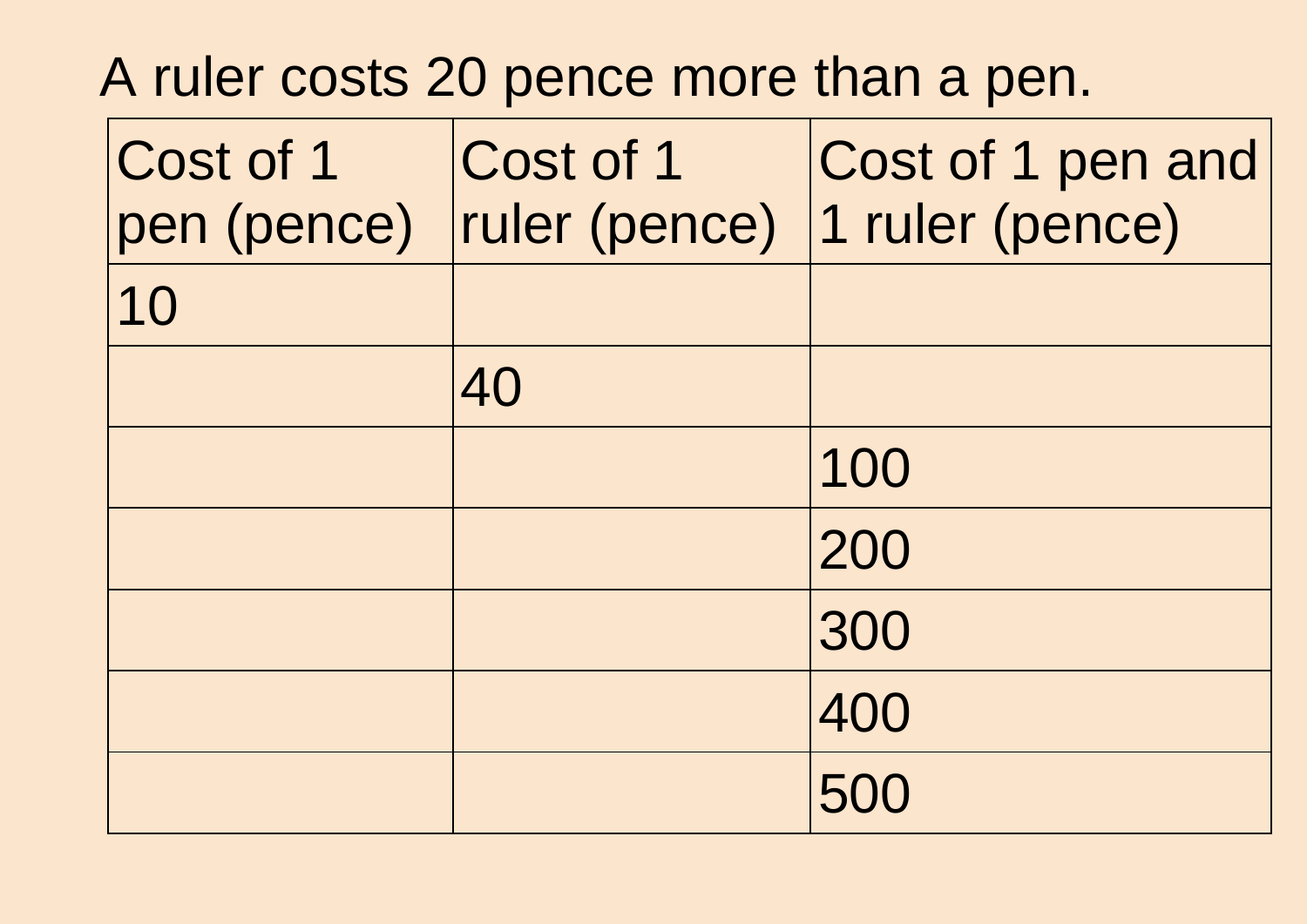## A ruler costs 20 pence more than a pen.

| Cost of 1<br>pen (pence) | Cost of 1<br>ruler (pence) | Cost of 1 pen and<br>1 ruler (pence) |  |
|--------------------------|----------------------------|--------------------------------------|--|
| 10                       |                            |                                      |  |
|                          | 40                         |                                      |  |
|                          |                            | 100                                  |  |
|                          |                            | 200                                  |  |
|                          |                            | 300                                  |  |
|                          |                            | 400                                  |  |
|                          |                            | 500                                  |  |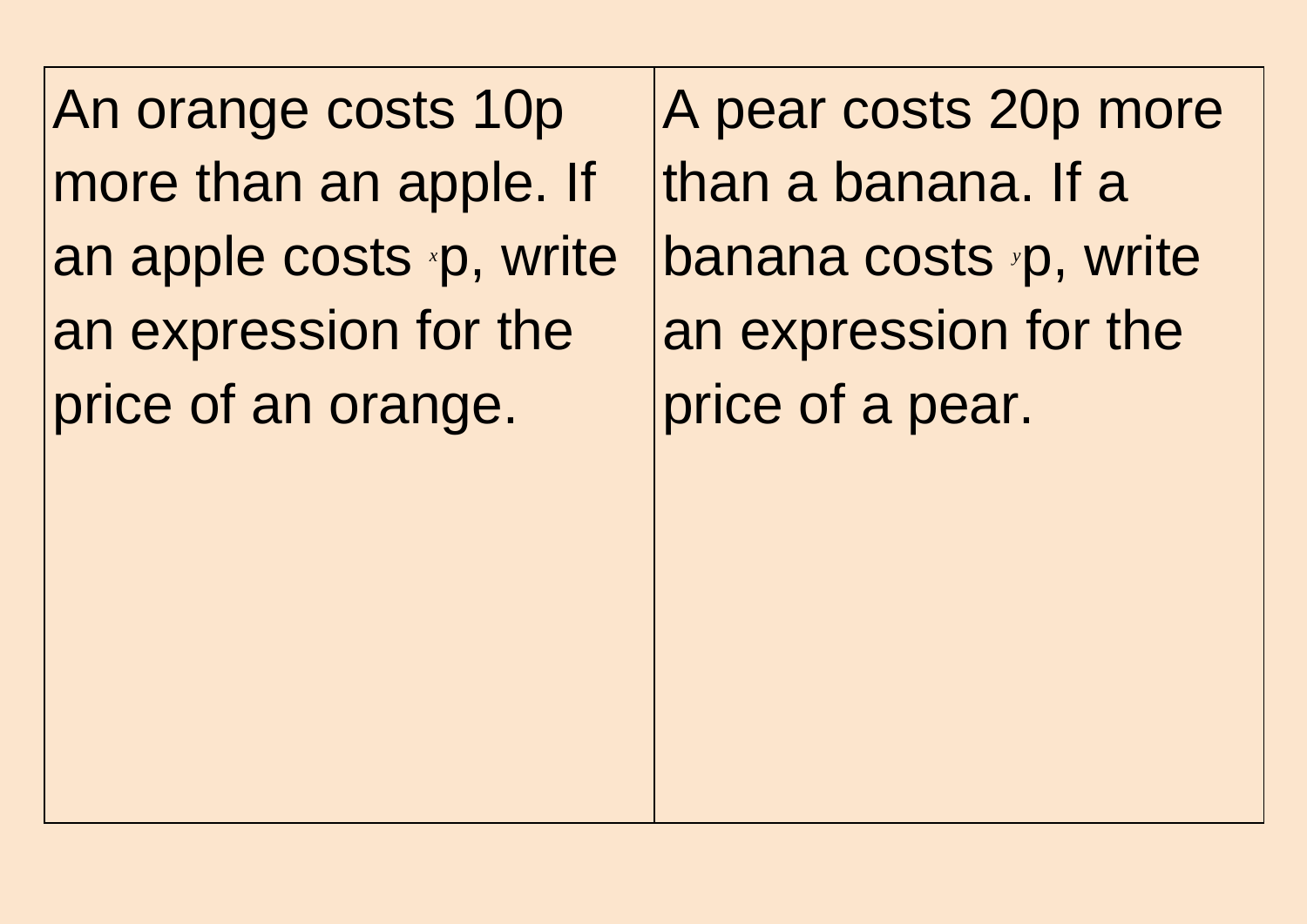An orange costs 10p more than an apple. If an apple costs *x*p, write an expression for the price of an orange.

A pear costs 20p more than a banana. If a banana costs *y*p, write an expression for the price of a pear.